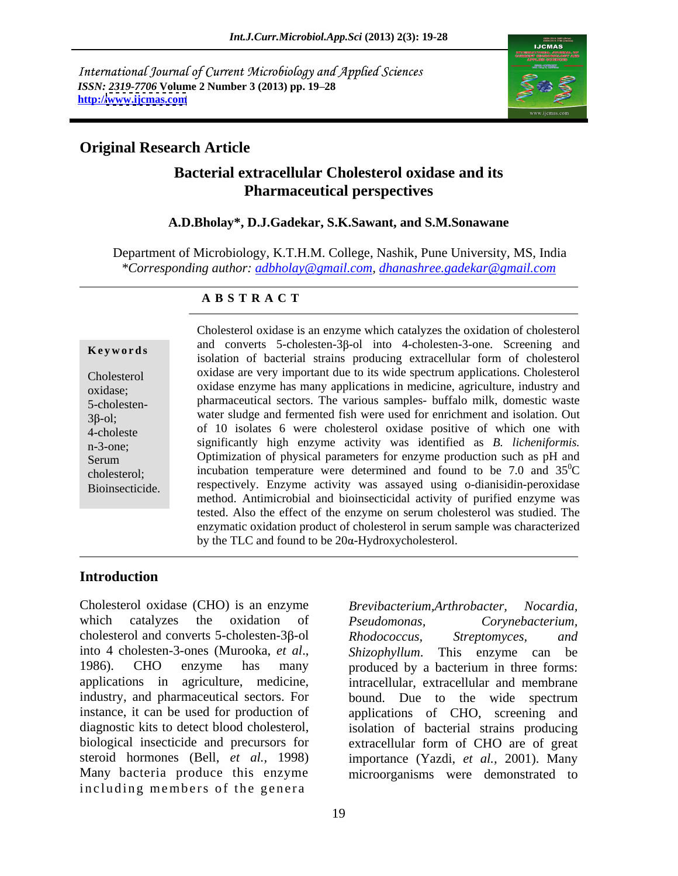International Journal of Current Microbiology and Applied Sciences *ISSN: 2319-7706* **Volume 2 Number 3 (2013) pp. 19 28 http:/[/www.ijcmas.com](http://www.ijcmas.com)**



### **Original Research Article**

### **Bacterial extracellular Cholesterol oxidase and its Pharmaceutical perspectives**

#### **A.D.Bholay\*, D.J.Gadekar, S.K.Sawant, and S.M.Sonawane**

Department of Microbiology, K.T.H.M. College, Nashik, Pune University, MS, India *\*Corresponding author: adbholay@gmail.com, dhanashree.gadekar@gmail.com*

#### **A B S T R A C T**

**Keywords** and converts  $J$ -choicsien- $J$ - $D$  muo  $+$ -choicsien- $J$ -one. Screeming and Cholesterol oxidase are very important due to its wide spectrum applications. Cholesterol oxidase; oxidase enzyme has many applications in medicine, agriculture, industry and 5-cholesten- pharmaceutical sectors. The various samples- buffalo milk, domestic waste  $3\beta$ -ol; water sludge and fermented fish were used for enrichment and isolation. Out 4-choleste of 10 isolates 6 were cholesterol oxidase positive of which one with n-3-one; significantly high enzyme activity was identified as *B. licheniformis.* Serum **Optimization of physical parameters for enzyme production such as pH and** cholesterol; incubation temperature were determined and found to be  $7.0$  and  $35^{\circ}$ C Bioinsecticide. respectively. Enzyme activity was assayed using o-dianisidin-peroxidase Cholesterol oxidase is an enzyme which catalyzes the oxidation of cholesterol and converts 5-cholesten-3<sub>6</sub>-ol into 4-cholesten-3-one. Screening and isolation of bacterial strains producing extracellular form of cholesterol  ${}^{0}C$ method. Antimicrobial and bioinsecticidal activity of purified enzyme was tested. Also the effect of the enzyme on serum cholesterol was studied. The enzymatic oxidation product of cholesterol in serum sample was characterized by the TLC and found to be  $20\alpha$ -Hydroxycholesterol.

#### **Introduction**

Cholesterol oxidase (CHO) is an enzyme Brevibacterium, Arthrobacter, Nocardia, which catalyzes the oxidation of *Pseudomonas*, cholesterol and converts 5-cholesten-3 $\beta$ -ol Rhodococcus, Streptomyces, and into 4 cholesten-3-ones (Murooka, *et al.*, *Shizophyllum*. This enzyme can be 1986). CHO enzyme has many produced by a bacterium in three forms: applications in agriculture, medicine, intracellular, extracellular and membrane industry, and pharmaceutical sectors. For bound. Due to the wide spectrum instance, it can be used for production of applications of CHO, screening and diagnostic kits to detect blood cholesterol, isolation of bacterial strains producing biological insecticide and precursors for steroid hormones (Bell, *et al.,* 1998) importance (Yazdi, *et al.,* 2001). Many Many bacteria produce this enzyme microorganisms were demonstrated to including members of the genera

 $Brevibacterium, Arthropacter,$ *Pseudomonas, Corynebacterium, Rhodococcus, Streptomyces, and Shizophyllum*. This enzyme can be produced by a bacterium in three forms: bound. Due to the wide spectrum extracellular form of CHO are of great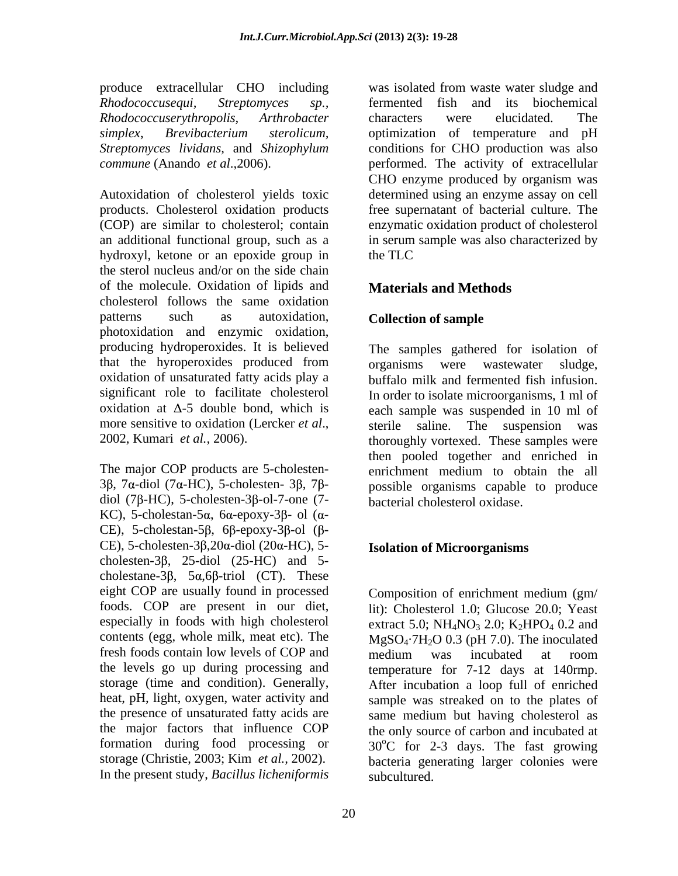*Rhodococcuserythropolis, Arthrobacter* 

Autoxidation of cholesterol yields toxic determined using an enzyme assay on cell products. Cholesterol oxidation products (COP) are similar to cholesterol; contain enzymatic oxidation product of cholesterol an additional functional group, such as a in serum sample was also characterized by hydroxyl, ketone or an epoxide group in the TLC the sterol nucleus and/or on the side chain of the molecule. Oxidation of lipids and cholesterol follows the same oxidation patterns such as autoxidation, **Collection of sample** photoxidation and enzymic oxidation, producing hydroperoxides. It is believed The samples gathered for isolation of that the hyroperoxides produced from organisms were wastewater sludge. oxidation of unsaturated fatty acids play a significant role to facilitate cholesterol In order to isolate microorganisms, 1 ml of  $\alpha$  oxidation at  $\Delta$ -5 double bond, which is each sample was suspended in 10 ml of more sensitive to oxidation (Lercker *et al.*, sterile saline. The suspension was thoroughly vortexed. These samples were

The major COP products are 5-cholesten-<br>enrichment medium to obtain the all diol (7 $\beta$ -HC), 5-cholesten-3 $\beta$ -ol-7-one (7-KC), 5-cholestan-5 $\alpha$ , 6 $\alpha$ -epoxy-3 $\beta$ - ol ( $\alpha$ -CE), 5-cholestan-5 $\beta$ , 6 $\beta$ -epoxy-3 $\beta$ -ol  $(\beta$ -CE), 5-cholesten-3 $\beta$ ,  $20\alpha$ -diol ( $20\alpha$ -HC), 5cholesten-3 $\beta$ , 25-diol (25-HC) and 5cholestane- $3\beta$ ,  $5\alpha, 6\beta$ -triol (CT). These eight COP are usually found in processed fresh foods contain low levels of COP and medium was incubated at room the presence of unsaturated fatty acids are same medium but having cholesterol as In the present study, *Bacillus licheniformis*

produce extracellular CHO including was isolated from waste water sludge and *Rhodococcusequi, Streptomyces sp.,* fermented fish and its biochemical *simplex*, *Brevibacterium sterolicum,* optimization of temperature and pH *Streptomyces lividans,* and *Shizophylum* conditions for CHO production was also *commune* (Anando *et al*.,2006). performed. The activity of extracellular characters were elucidated. The CHO enzyme produced by organism was free supernatant of bacterial culture. The the TLC

### **Materials and Methods**

### **Collection of sample**

 $3\beta$ , 7 $\alpha$ -diol (7 $\alpha$ -HC), 5-cholesten-  $3\beta$ , 7 $\beta$ - possible organisms capable to produce organisms were wastewater sludge, buffalo milk and fermented fish infusion. sterile saline. The suspension was thoroughly vortexed. These samples were then pooled together and enriched in enrichment medium to obtain the all bacterial cholesterol oxidase.

#### **Isolation of Microorganisms**

foods. COP are present in our diet, lit): Cholesterol 1.0; Glucose 20.0; Yeast especially in foods with high cholesterol extract 5.0;  $NH_4NO_3$  2.0;  $K_2HPO_4$  0.2 and contents (egg, whole milk, meat etc). The  $MgSO_4$ -7H<sub>2</sub>O 0.3 (pH 7.0). The inoculated the levels go up during processing and temperature for 7-12 days at 140rmp. storage (time and condition). Generally, After incubation a loop full of enriched heat, pH, light, oxygen, water activity and sample was streaked on to the plates of the major factors that influence COP the only source of carbon and incubated at formation during food processing or  $30^{\circ}$ C for 2-3 days. The fast growing storage (Christie, 2003; Kim *et al.,* 2002). bacteria generating larger colonies were Composition of enrichment medium (gm/ medium was incubated at room same medium but having cholesterol as subcultured.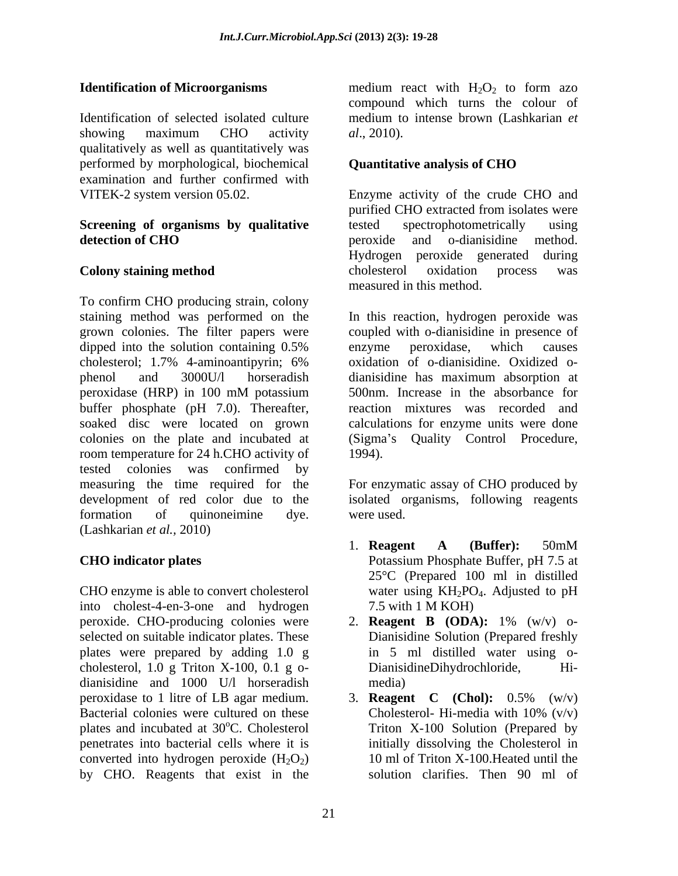Identification of selected isolated culture medium to intense brown (Lashkarian *et*  showing maximum CHO activity al., 2010). qualitatively as well as quantitatively was performed by morphological, biochemical **Quantitative analysis of CHO** examination and further confirmed with

# **Screening of organisms by qualitative** tested spectrophotometrically using

To confirm CHO producing strain, colony staining method was performed on the In this reaction, hydrogen peroxide was grown colonies. The filter papers were coupled with o-dianisidine in presence of dipped into the solution containing 0.5% cholesterol; 1.7% 4-aminoantipyrin; 6% phenol and 3000U/l horseradish dianisidine has maximum absorption at peroxidase (HRP) in 100 mM potassium buffer phosphate (pH 7.0). Thereafter, soaked disc were located on grown calculations for enzyme units were done colonies on the plate and incubated at (Sigma's Quality Control Procedure, room temperature for 24 h.CHO activity of 1994). tested colonies was confirmed by measuring the time required for the For enzymatic assay of CHO produced by development of red color due to the isolated organisms, following reagents formation of quinoneimine dye. were used. (Lashkarian *et al.,* 2010)

CHO enzyme is able to convert cholesterol water using  $KH_2PO_4$ . Adjusted to pH into cholest-4-en-3-one and hydrogen peroxide. CHO-producing colonies were 2. **Reagent B (ODA):** 1% (w/v) o selected on suitable indicator plates. These plates were prepared by adding 1.0 g cholesterol, 1.0 g Triton X-100, 0.1 g o dianisidine and 1000 U/l horseradish peroxidase to 1 litre of LB agar medium. 3. **Reagent** C (Chol):  $0.5\%$  (w/v) Bacterial colonies were cultured on these Cholesterol-Hi-media with  $10\%$  (v/v) plates and incubated at 30<sup>o</sup>C. Cholesterol penetrates into bacterial cells where it is converted into hydrogen peroxide  $(H_2O_2)$ by CHO. Reagents that exist in the

**Identification of Microorganisms** medium react with H<sub>2</sub>O<sub>2</sub> to form azo medium react with  $H_2O_2$  to form azo compound which turns the colour of *al*., 2010).

### **Quantitative analysis of CHO**

VITEK-2 system version 05.02. Enzyme activity of the crude CHO and **detection of CHO**  peroxide and o-dianisidine method. **Colony staining method** cholesterol oxidation process was purified CHO extracted from isolates were tested spectrophotometrically using Hydrogen peroxide generated during cholesterol oxidation process was measured in this method.

> enzyme peroxidase, which causes oxidation of o-dianisidine. Oxidized o- 500nm. Increase in the absorbance for reaction mixtures was recorded and 1994).

were used.

- **CHO indicator plates** Potassium Phosphate Buffer, pH 7.5 at 1. **Reagent A (Buffer):** 50mM Potassium Phosphate Buffer, pH 7.5 at 25°C (Prepared 100 ml in distilled water using KH<sub>2</sub>PO<sub>4</sub>. Adjusted to pH 7.5 with 1 M KOH)
	- Dianisidine Solution (Prepared freshly in 5 ml distilled water using o- DianisidineDihydrochloride, media)
	- <sup>o</sup>C. Cholesterol Triton X-100 Solution (Prepared by 3. **Reagent C (Chol):** 0.5% (w/v) Cholesterol- Hi-media with 10% (v/v) initially dissolving the Cholesterol in 10 ml of Triton X-100.Heated until the solution clarifies. Then 90 ml of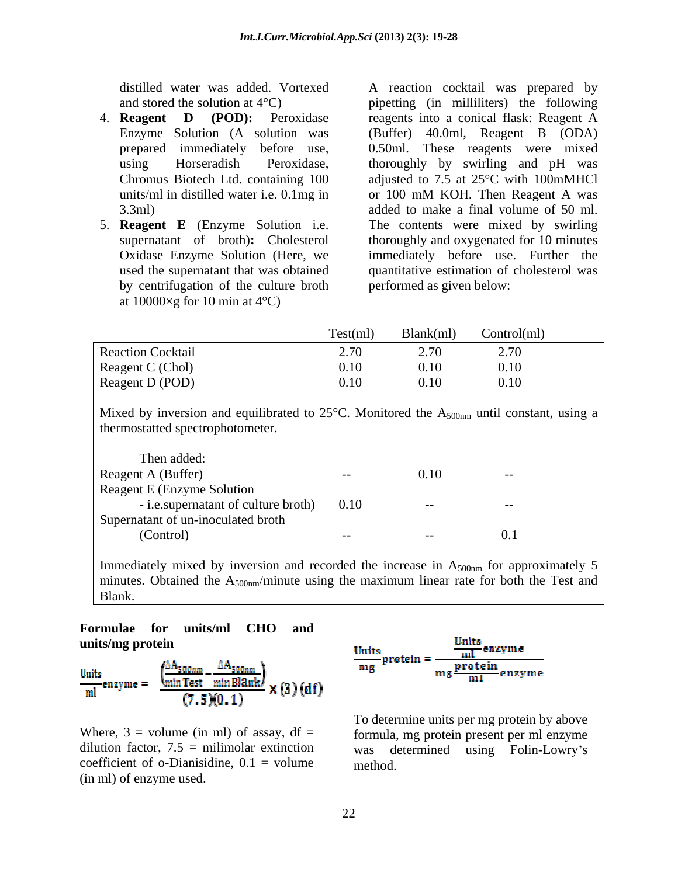- 
- 5. **Reagent E** (Enzyme Solution i.e. by centrifugation of the culture broth at  $10000\times g$  for 10 min at  $4^{\circ}$ C)

distilled water was added. Vortexed A reaction cocktail was prepared by and stored the solution at 4°C) pipetting (in milliliters) the following 4. **Reagent D (POD):** Peroxidase reagents into a conical flask: Reagent A Enzyme Solution (A solution was (Buffer) 40.0ml, Reagent B (ODA) prepared immediately before use, 0.50ml. These reagents were mixed using Horseradish Peroxidase, thoroughly by swirling and pH was Chromus Biotech Ltd. containing 100 adjusted to 7.5 at 25°C with 100mMHCl units/ml in distilled water i.e. 0.1mg in or 100 mM KOH. Then Reagent A was 3.3ml) added to make a final volume of 50 ml. supernatant of broth)**:** Cholesterol thoroughly and oxygenated for 10 minutes Oxidase Enzyme Solution (Here, we immediately before use. Further the used the supernatant that was obtained quantitative estimation of cholesterol was or 100 mM KOH. Then Reagent A was The contents were mixed by swirling performed as given below:

|                          | $\sim$ | Test(m)                | Blank(ml) | the control of the con-<br>Control(ml) |
|--------------------------|--------|------------------------|-----------|----------------------------------------|
| <b>Reaction Cocktail</b> |        | $\overline{u}$<br>2.70 | <i>—</i>  |                                        |
| Reagent C (Chol)         |        | 0.10                   | 0.10      | 0.10<br>0.10                           |
| Reagent D (POD)          |        | 0.10                   | 0.10      | $\sim$<br>0.10                         |

Mixed by inversion and equilibrated to  $25^{\circ}$ C. Monitored the  $A_{500nm}$  until constant, using a thermostatted spectrophotometer.

| Then added:                                 |       |       |       |
|---------------------------------------------|-------|-------|-------|
| Reagent A (Buffer)                          | $- -$ | 0.10  | $- -$ |
| <b>Reagent E (Enzyme Solution</b>           |       |       |       |
| - <i>i.e.</i> supernatant of culture broth) | 0.10  | $--$  |       |
| Supernatant of un-inoculated broth          |       |       |       |
| (Control)                                   | $- -$ | $- -$ |       |

Immediately mixed by inversion and recorded the increase in  $A_{500nm}$  for approximately 5 minutes. Obtained the  $A_{500nm}/$ minute using the maximum linear rate for both the Test and Blank.

# **Formulae for units/ml CHO and**

$$
\frac{\text{Units}}{\text{ml}}\text{ enzyme} = \frac{\left(\frac{\Delta A_{\text{S00nm}}}{\text{min Test}} - \frac{\Delta A_{\text{S00nm}}}{\text{min Bl2nk}}\right)}{(7.5)(0.1)} \times (3) \text{ (df)}
$$

dilution factor,  $7.5 = \text{million}$  extinction was coefficient of o-Dianisidine,  $0.1$  = volume Where,  $3 =$  volume (in ml) of assay,  $df =$ <br>dilution factor,  $7.5 =$  milimolar extinction<br>coefficient of o-Dianisidine,  $0.1 =$  volume was determined using Folin-Lowry's<br>(in ml) of enzyme used.



Where,  $3 =$  volume (in ml) of assay,  $df =$  formula, mg protein present per ml enzyme determined using Folin-Lowry's method.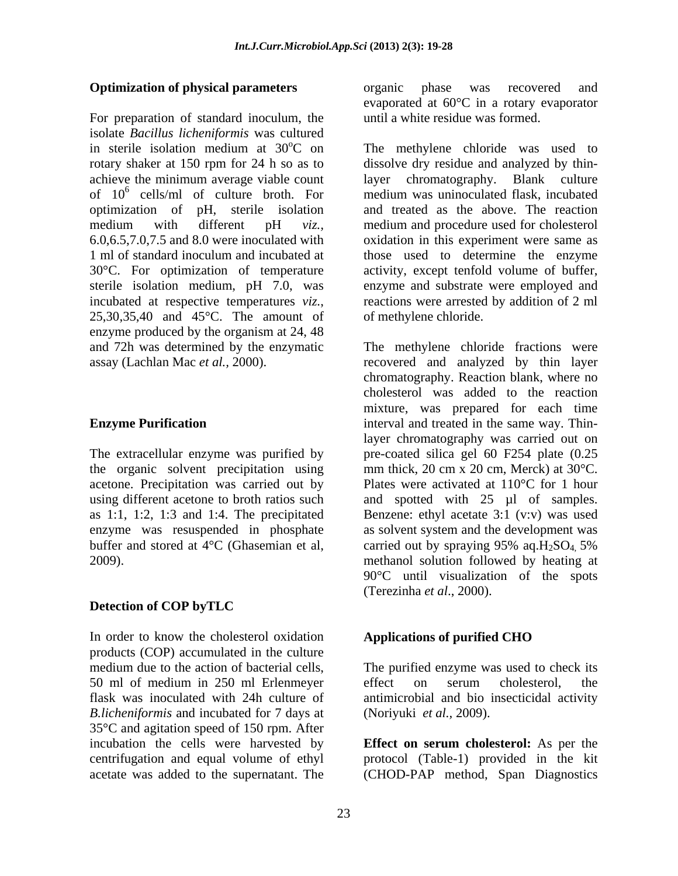For preparation of standard inoculum, the isolate *Bacillus licheniformis* was cultured in sterile isolation medium at  $30^{\circ}$ C on The methylene chloride was used to of  $10^6$  cells/ml of culture broth. For sterile isolation medium, pH 7.0, was enzyme produced by the organism at 24, 48

the organic solvent precipitation using buffer and stored at  $4^{\circ}$ C (Ghasemian et al, carried out by spraying 95% aq.H<sub>2</sub>SO<sub>4</sub> 5%

#### **Detection of COP byTLC**

In order to know the cholesterol oxidation **Applications of purified CHO** products (COP) accumulated in the culture medium due to the action of bacterial cells, *B.licheniformis* and incubated for 7 days at 35°C and agitation speed of 150 rpm. After incubation the cells were harvested by **Effect on serum cholesterol:** As per the centrifugation and equal volume of ethyl protocol (Table-1) provided in the kit

**Optimization of physical parameters** organic phase was recovered and organic phase was recovered and evaporated at 60°C in a rotary evaporator until a white residue was formed.

rotary shaker at 150 rpm for 24 h so as to dissolve dry residue and analyzed by thinachieve the minimum average viable count layer chromatography. Blank culture cells/ml of culture broth. For medium was uninoculated flask, incubated optimization of pH, sterile isolation and treated as the above. The reaction medium with different pH *viz.,* medium and procedure used for cholesterol 6.0,6.5,7.0,7.5 and 8.0 were inoculated with oxidation in this experiment were same as 1 ml of standard inoculum and incubated at those used to determine the enzyme 30°C. For optimization of temperature activity, except tenfold volume of buffer, incubated at respective temperatures *viz*., reactions were arrested by addition of 2 ml 25,30,35,40 and 45°C. The amount of of methylene chloride. enzyme and substrate were employed and reactions were arrested by addition of 2 ml of methylene chloride.

and 72h was determined by the enzymatic The methylene chloride fractions were assay (Lachlan Mac *et al.,* 2000). recovered and analyzed by thin layer **Enzyme Purification interval and treated in the same way. Thin-**The extracellular enzyme was purified by pre-coated silica gel 60 F254 plate (0.25 acetone. Precipitation was carried out by Plates were activated at 110°C for 1 hour using different acetone to broth ratios such and spotted with 25 µl of samples. as 1:1, 1:2, 1:3 and 1:4. The precipitated Benzene: ethyl acetate 3:1 (v:v) was used enzyme was resuspended in phosphate as solvent system and the development was 2009). methanol solution followed by heating at chromatography. Reaction blank, where no cholesterol was added to the reaction mixture, was prepared for each time layer chromatography was carried out on mm thick, 20 cm x 20 cm, Merck) at 30°C. carried out by spraying  $95\%$  aq. $H_2SO_4$ , 5% 90°C until visualization of the spots (Terezinha *et al*., 2000).

#### **Applications of purified CHO**

50 ml of medium in 250 ml Erlenmeyer flask was inoculated with 24h culture of antimicrobial and bio insecticidal activity The purified enzyme was used to check its effect on serum cholesterol, the (Noriyuki *et al.,* 2009).

acetate was added to the supernatant. The (CHOD-PAP method, Span Diagnostics**Effect on serum cholesterol:** As per the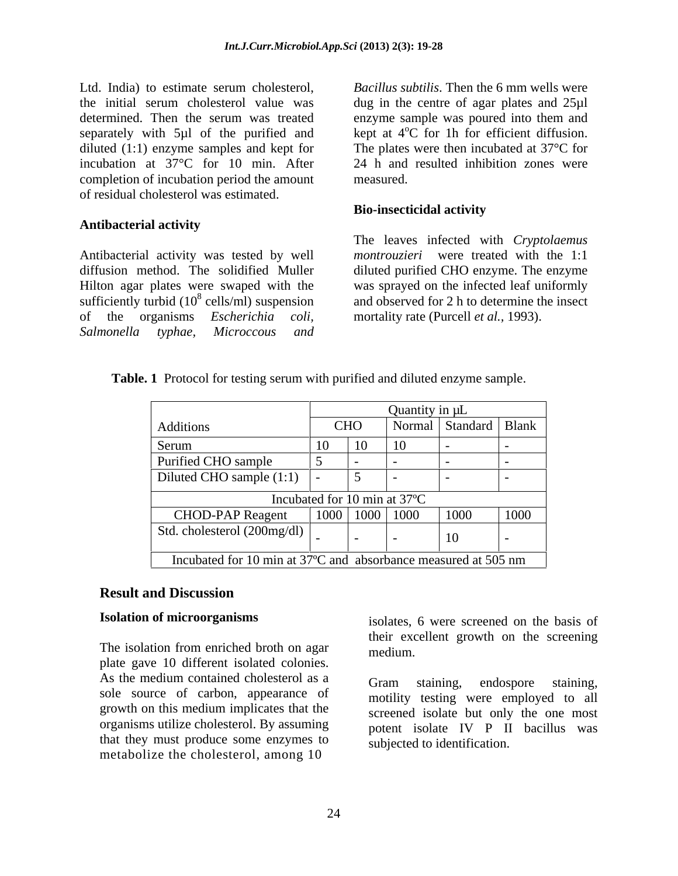Ltd. India) to estimate serum cholesterol, *Bacillus subtilis*. Then the 6 mm wells were the initial serum cholesterol value was dug in the centre of agar plates and 25µl determined. Then the serum was treated enzyme sample was poured into them and separately with  $5\mu$ l of the purified and kept at  $4^{\circ}$ C for 1h for efficient diffusion. diluted (1:1) enzyme samples and kept for incubation at 37°C for 10 min. After completion of incubation period the amount of residual cholesterol was estimated.

### **Antibacterial activity**

Antibacterial activity was tested by well diffusion method. The solidified Muller diluted purified CHO enzyme. The enzyme Hilton agar plates were swaped with the was sprayed on the infected leaf uniformly sufficiently turbid  $(10^8 \text{ cells/ml})$  suspension of the organisms *Escherichia coli, Salmonella typhae, Microccous and*

<sup>o</sup>C for 1h for efficient diffusion. The plates were then incubated at 37°C for 24 h and resulted inhibition zones were measured.

#### **Bio-insecticidal activity**

cells/ml) suspension and observed for 2 h to determine the insect The leaves infected with *Cryptolaemus montrouzieri* were treated with the 1:1 mortality rate (Purcell *et al.,* 1993).

| Table.<br>$\mathbf{1} \cdot \mathbf{1}$<br>. 1 D.<br>$\cdots$<br>with<br>Protocol for testing serum y<br>sample.<br>i purified and diluted<br>enzvme |  |
|------------------------------------------------------------------------------------------------------------------------------------------------------|--|
|------------------------------------------------------------------------------------------------------------------------------------------------------|--|

|                                                                |  |              | Quantity in $\mu$ L  |                           |      |
|----------------------------------------------------------------|--|--------------|----------------------|---------------------------|------|
| Additions                                                      |  | <b>CHO</b>   |                      | Normal   Standard   Blank |      |
| Serum                                                          |  | 10           | 10                   |                           |      |
| Purified CHO sample                                            |  |              |                      |                           |      |
| Diluted CHO sample (1:1)                                       |  |              |                      |                           |      |
| Incubated for 10 min at 37°C                                   |  |              |                      |                           |      |
| <b>CHOD-PAP Reagent</b>                                        |  |              | $1000$   1000   1000 | 1000                      | 1000 |
| Std. cholesterol $(200mg/dl)$                                  |  | $\mathbf{I}$ |                      | 10                        |      |
| Incubated for 10 min at 37°C and absorbance measured at 505 nm |  |              |                      |                           |      |

### **Result and Discussion**

The isolation from enriched broth on agar medium plate gave 10 different isolated colonies. As the medium contained cholesterol as a comparison endospore staining sole source of carbon, appearance of growth on this medium implicates that the organisms utilize cholesterol. By assuming that they must produce some enzymes to metabolize the cholesterol, among 10

**Isolation of microorganisms** isolates, 6 were screened on the basis of their excellent growth on the screening medium.

> Gram staining, endospore staining, motility testing were employed to all screened isolate but only the one most potent isolate IV P II bacillus was subjected to identification.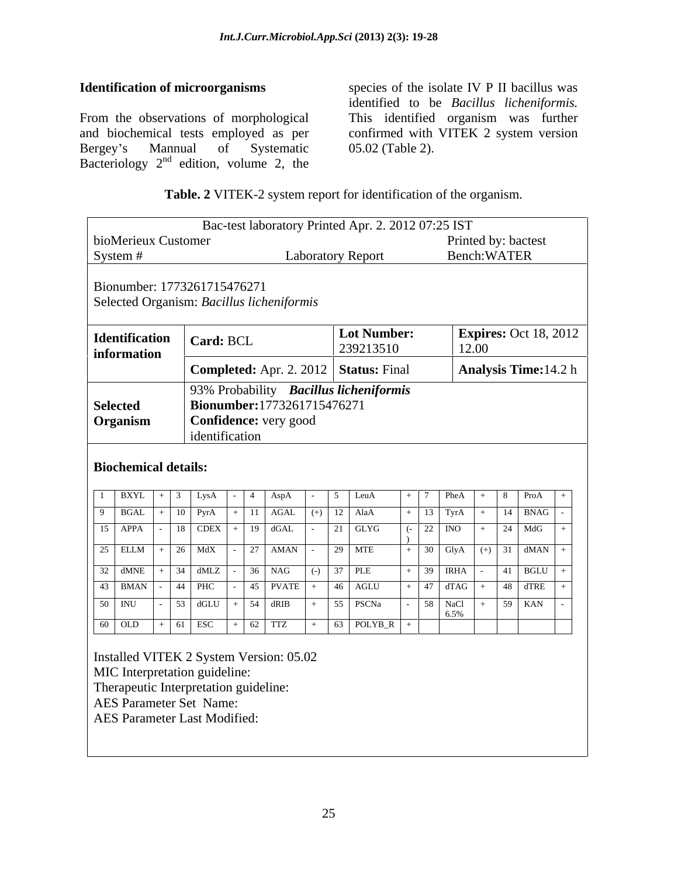From the observations of morphological This identified organism was further and biochemical tests employed as per confirmed with VITEK 2 system version Bergey's Mannual of Systematic 05.02 (Table 2). Bacteriology  $2<sup>nd</sup>$  edition, volume 2, the

**Identification of microorganisms** species of the isolate IV P II bacillus was identified to be *Bacillus licheniformis.* 05.02 (Table 2).

| Table. 2<br>. 2 VITEK-2<br>2 system report for identification of the organism. |  |  |
|--------------------------------------------------------------------------------|--|--|
|                                                                                |  |  |

|                                         |                                           | Bac-test laboratory Printed Apr. 2. 2012 07:25 IST                   |                              |
|-----------------------------------------|-------------------------------------------|----------------------------------------------------------------------|------------------------------|
| bioMerieux Customer                     |                                           |                                                                      | Printed by: bactest          |
| System #                                |                                           | <b>Laboratory Report</b>                                             | Bench: WATER                 |
|                                         |                                           |                                                                      |                              |
| Bionumber: 1773261715476271             |                                           |                                                                      |                              |
|                                         | Selected Organism: Bacillus licheniformis |                                                                      |                              |
|                                         |                                           | <b>Lot Number:</b>                                                   | <b>Expires: Oct 18, 2012</b> |
| Identification<br>information           | Card: BCL                                 | 239213510                                                            | 12.00                        |
|                                         |                                           | <b>Completed:</b> Apr. 2. 2012   <b>Status:</b> Final                | <b>Analysis Time: 14.2 h</b> |
|                                         |                                           |                                                                      |                              |
| <b>Selected</b>                         |                                           | 93% Probability Bacillus licheniformis<br>Bionumber:1773261715476271 |                              |
| <b>Organism</b>                         | Confidence: very good                     |                                                                      |                              |
|                                         | identification                            |                                                                      |                              |
|                                         |                                           |                                                                      |                              |
| <b>Biochemical details:</b>             |                                           |                                                                      |                              |
|                                         |                                           |                                                                      |                              |
| l BXYL                                  | LysA                                      | AspA<br>LeuA                                                         | PheA<br>8 ProA               |
| 9 BGAL                                  | $10$ PyrA                                 | AGAL<br>$(+)$ 12 AlaA                                                | $+$ 13 TyrA $+$ 14 BNAG      |
| $15$ APPA                               | $18$ CDEX + 19 dGAL                       | $21$ GLYG                                                            | $-22$ INO<br>$24$ MdG        |
| 25 ELLM                                 | $26$ MdX                                  | 7 AMAN<br>$29$ MTE                                                   | $+$ 30 GlyA $(+)$ 31 dMAN    |
| 32 dMNE                                 | $-36$ NAG<br>$34$ dMLZ                    | $\overline{(-)}$ 37 PLE                                              | $+ 39$ IRHA<br>$41$ BGLU     |
| 43 BMAN                                 | $44$ PHC                                  | $45$ PVATE + $46$ AGLU                                               | $+ 47$ dTAG $+ 48$ dTRE      |
| 50 INU                                  | $+ 54$ dRIB<br>$53$ dGLU                  | $+$ 55 PSCNa                                                         | $59$ KAN                     |
|                                         |                                           |                                                                      | $58$ NaCl + 6.5%             |
| $60$ OLD $+$ 61 ESC                     | $+$ 62 TTZ                                | $+$ 63 POLYB_R                                                       |                              |
|                                         |                                           |                                                                      |                              |
| Installed VITEK 2 System Version: 05.02 |                                           |                                                                      |                              |
| MIC Interpretation guideline:           |                                           |                                                                      |                              |
| Therapeutic Interpretation guideline:   |                                           |                                                                      |                              |

AES Parameter Set Name: AES Parameter Last Modified: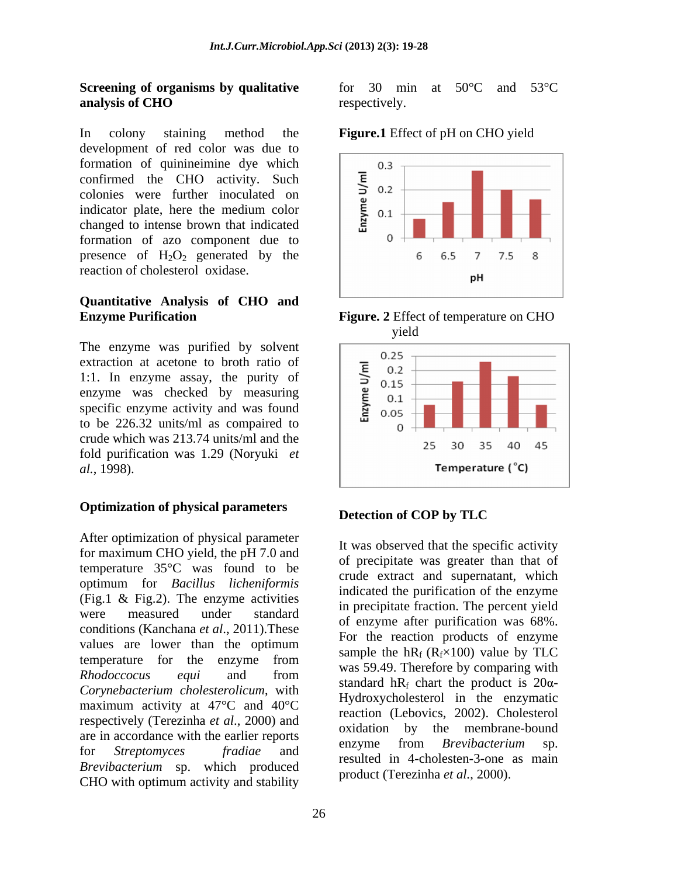#### **Screening of organisms by qualitative analysis of CHO** respectively.

In colony staining method the **Figure.1** Effect of pH on CHO yield development of red color was due to formation of quinineimine dye which<br>
confirmed the CHO activity. Such<br>
colonies were further inoculated on<br>
indicator plate, here the medium color<br>
changed to intense brown that indicated<br>  $\sum_{n=0}^{\infty}$  0.1 colonies were further inoculated on  $\overrightarrow{5}$  0.2 changed to intense brown that indicated  $\begin{bmatrix} 1 & 1 \\ 1 & 0 \end{bmatrix}$ formation of azo component due to presence of  $H_2O_2$  generated by the  $\begin{array}{cccc} 6 & 6.5 & 7 & 7.5 & 8 \end{array}$ reaction of cholesterol oxidase.

#### **Quantitative Analysis of CHO and Enzyme Purification Figure. 2** Effect of temperature on CHO

The enzyme was purified by solvent  $\sqrt{0.25}$ extraction at acetone to broth ratio of<br>1:1. In enzyme assay, the purity of<br>enzyme was checked by measuring<br>specific enzyme activity and was found<br> $\sum_{n=0}^{\infty}$  0.15<br>0.15<br>0.20<br>0.20 1:1. In enzyme assay, the purity of  $\sum_{0.15}^{0.2}$ enzyme was checked by measuring  $\begin{bmatrix} 0.15 \\ 2.1 \end{bmatrix}$ specific enzyme activity and was found  $\sum_{\alpha=0}^{\infty} 0.05$ to be 226.32 units/ml as compaired to  $\begin{bmatrix} 1 & 0 \\ 0 & 0 \end{bmatrix}$ crude which was 213.74 units/ml and the 25 30 35 40 45 fold purification was 1.29 (Noryuki *et al.*, 1998).

## **Optimization of physical parameters Detection of COP by TLC**

After optimization of physical parameter for maximum CHO yield, the pH 7.0 and temperature 35°C was found to be optimum for *Bacillus licheniformis*  $F$ ig.1 & Fig.2). The enzyme activities  $F$  is precipitate fraction. The personal vial were measured under standard  $\frac{m}{\epsilon}$  precipitation. The percent yield conditions (Kanchana *et al*., 2011).These values are lower than the optimum temperature for the enzyme from  $\frac{\text{sample}}{\text{wog}}$  50.40 Therefore by comparing with *Rhodoccocus equi* and from was 3.3.4.3. Increased by comparing with *Corynebacterium cholesterolicum*, with maximum activity at 47°C and 40°C respectively (Terezinha *et al*., 2000) and are in accordance with the earlier reports<br>enzyme from *Brevibacterium* sp. for *Streptomyces fradiae* and *Brevibacterium* sp. which produced CHO with optimum activity and stability

for 30 min at 50°C and 53°C respectively.



yield



### **Detection of COP by TLC**

It was observed that the specific activity of precipitate was greater than that of crude extract and supernatant, which indicated the purification of the enzyme in precipitate fraction. The percent yield of enzyme after purification was 68%. For the reaction products of enzyme sample the hR<sub>f</sub> ( $R_f \times 100$ ) value by TLC was 59.49. Therefore by comparing with standard hR<sub>f</sub> chart the product is  $20\alpha$ -Hydroxycholesterol in the enzymatic reaction (Lebovics, 2002). Cholesterol oxidation by the membrane-bound enzyme from *Brevibacterium* sp. resulted in 4-cholesten-3-one as main product (Terezinha *et al.*, 2000).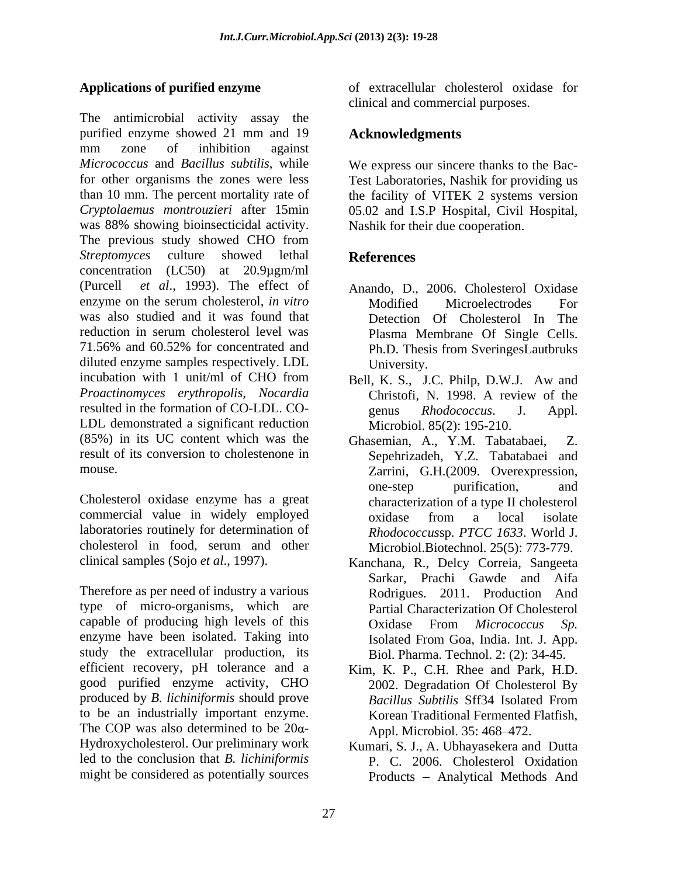The antimicrobial activity assay the purified enzyme showed 21 mm and 19 Acknowledgments mm zone of inhibition against *Micrococcus* and *Bacillus subtilis*, while We express our sincere thanks to the Bac for other organisms the zones were less Test Laboratories, Nashik for providing us than 10 mm. The percent mortality rate of the facility of VITEK 2 systems version *Cryptolaemus montrouzieri* after 15min was 88% showing bioinsecticidal activity. Nashik for their due cooperation. The previous study showed CHO from *Streptomyces* culture showed lethal concentration (LC50) at 20.9µgm/ml (Purcell *et al*., 1993). The effect of Anando, D., 2006. Cholesterol Oxidase enzyme on the serum cholesterol, *in vitro* was also studied and it was found that reduction in serum cholesterol level was Plasma Membrane Of Single Cells. 71.56% and 60.52% for concentrated and diluted enzyme samples respectively. LDL University. incubation with 1 unit/ml of CHO from Bell, K. S., J.C. Philp, D.W.J. Aw and *Proactinomyces erythropolis, Nocardia* resulted in the formation of CO-LDL. CO-<br>genus Rhodococcus. J. Appl. LDL demonstrated a significant reduction  $(85%)$  in its UC content which was the Ghasemian, A., Y.M. Tabatabaei, Z. result of its conversion to cholestenone in Sepehrizadeh, Y.Z. Tabatabaei and

Cholesterol oxidase enzyme has a great characterization of a type II cholesterol commercial value in widely employed oxidase from a local isolate laboratories routinely for determination of cholesterol in food, serum and other

Therefore as per need of industry a various type of micro-organisms, which are capable of producing high levels of this Cxidase From Micrococcus Sp. enzyme have been isolated. Taking into<br>Isolated From Goa, India. Int. J. App. study the extracellular production, its efficient recovery, pH tolerance and a Kim, K. P., C.H. Rhee and Park, H.D. good purified enzyme activity, CHO produced by *B. lichiniformis* should prove to be an industrially important enzyme. The COP was also determined to be  $20\alpha$ -Hydroxycholesterol. Our preliminary work Kumari, S. J., A. Ubhayasekera and Dutta led to the conclusion that *B. lichiniformis* P. C. 2006. Cholesterol Oxidation might be considered as potentially sources

**Applications of purified enzyme** of extracellular cholesterol oxidase for clinical and commercial purposes.

### **Acknowledgments**

05.02 and I.S.P Hospital, Civil Hospital, Nashik for their due cooperation.

### **References**

- Modified Microelectrodes For Detection Of Cholesterol In The Plasma Membrane Of Single Cells. Ph.D. Thesis from SveringesLautbruks University.
- Christofi, N. 1998. A review of the genus *Rhodococcus*. J. Appl. Microbiol. 85(2): 195-210.
- mouse. Zarrini, G.H.(2009. Overexpression, Ghasemian, A., Y.M. Tabatabaei. one-step purification, and oxidase from a local isolate *Rhodococcus*sp. *PTCC 1633*. World J. Microbiol.Biotechnol. 25(5): 773-779.
- clinical samples (Sojo *et al*., 1997). Kanchana, R., Delcy Correia, Sangeeta Sarkar, Prachi Gawde and Aifa Rodrigues. 2011. Production And Partial Characterization Of Cholesterol Oxidase From *Micrococcus Sp.* Isolated From Goa, India. Int. J. App. Biol. Pharma. Technol. 2: (2): 34-45.
	- 2002. Degradation Of Cholesterol By *Bacillus Subtilis* Sff34 Isolated From Korean Traditional Fermented Flatfish, Appl. Microbiol. 35: 468–472.
	- Products Analytical Methods And